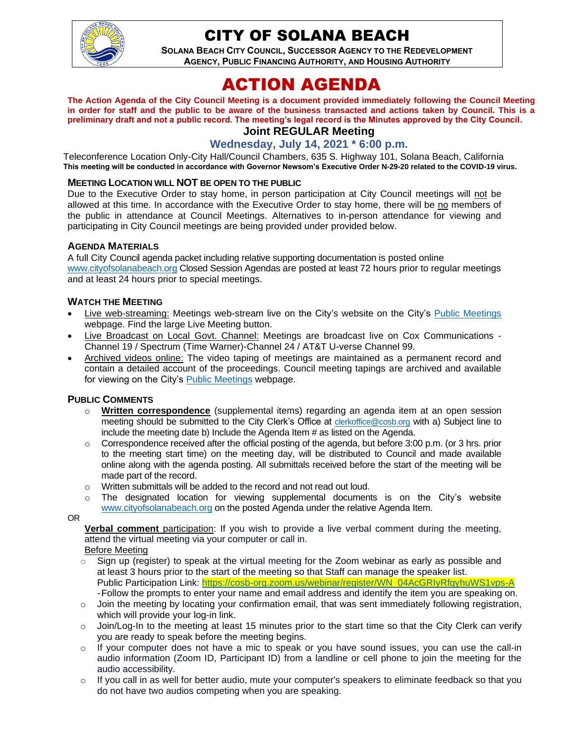

# CITY OF SOLANA BEACH

**SOLANA BEACH CITY COUNCIL, SUCCESSOR AGENCY TO THE REDEVELOPMENT AGENCY, PUBLIC FINANCING AUTHORITY, AND HOUSING AUTHORITY** 

# ACTION AGENDA

**The Action Agenda of the City Council Meeting is a document provided immediately following the Council Meeting in order for staff and the public to be aware of the business transacted and actions taken by Council. This is a preliminary draft and not a public record. The meeting's legal record is the Minutes approved by the City Council.**

# **Joint REGULAR Meeting**

**Wednesday, July 14, 2021 \* 6:00 p.m.**

Teleconference Location Only-City Hall/Council Chambers, 635 S. Highway 101, Solana Beach, California **This meeting will be conducted in accordance with Governor Newsom's Executive Order N-29-20 related to the COVID-19 virus.**

#### **MEETING LOCATION WILL NOT BE OPEN TO THE PUBLIC**

Due to the Executive Order to stay home, in person participation at City Council meetings will not be allowed at this time. In accordance with the Executive Order to stay home, there will be no members of the public in attendance at Council Meetings. Alternatives to in-person attendance for viewing and participating in City Council meetings are being provided under provided below.

#### **AGENDA MATERIALS**

A full City Council agenda packet including relative supporting documentation is posted online [www.cityofsolanabeach.org](http://www.cityofsolanabeach.org/) Closed Session Agendas are posted at least 72 hours prior to regular meetings and at least 24 hours prior to special meetings.

#### **WATCH THE MEETING**

- Live web-streaming: Meetings web-stream live on the City's website on the City's [Public Meetings](https://urldefense.proofpoint.com/v2/url?u=https-3A__www.ci.solana-2Dbeach.ca.us_index.asp-3FSEC-3DF0F1200D-2D21C6-2D4A88-2D8AE1-2D0BC07C1A81A7-26Type-3DB-5FBASIC&d=DwMFAg&c=euGZstcaTDllvimEN8b7jXrwqOf-v5A_CdpgnVfiiMM&r=1XAsCUuqwK_tji2t0s1uIQ&m=wny2RVfZJ2tN24LkqZmkUWNpwL_peNtTZUBlTBZiMM4&s=WwpcEQpHHkFen6nS6q2waMuQ_VMZ-i1YZ60lD-dYRRE&e=) webpage. Find the large Live Meeting button.
- Live Broadcast on Local Govt. Channel: Meetings are broadcast live on Cox Communications Channel 19 / Spectrum (Time Warner)-Channel 24 / AT&T U-verse Channel 99.
- Archived videos online: The video taping of meetings are maintained as a permanent record and contain a detailed account of the proceedings. Council meeting tapings are archived and available for viewing on the City's Public [Meetings](https://urldefense.proofpoint.com/v2/url?u=https-3A__www.ci.solana-2Dbeach.ca.us_index.asp-3FSEC-3DF0F1200D-2D21C6-2D4A88-2D8AE1-2D0BC07C1A81A7-26Type-3DB-5FBASIC&d=DwMFAg&c=euGZstcaTDllvimEN8b7jXrwqOf-v5A_CdpgnVfiiMM&r=1XAsCUuqwK_tji2t0s1uIQ&m=wny2RVfZJ2tN24LkqZmkUWNpwL_peNtTZUBlTBZiMM4&s=WwpcEQpHHkFen6nS6q2waMuQ_VMZ-i1YZ60lD-dYRRE&e=) webpage.

#### **PUBLIC COMMENTS**

- o **Written correspondence** (supplemental items) regarding an agenda item at an open session meeting should be submitted to the City Clerk's Office at [clerkoffice@cosb.org](mailto:clerkoffice@cosb.org) with a) Subject line to include the meeting date b) Include the Agenda Item # as listed on the Agenda.
- $\circ$  Correspondence received after the official posting of the agenda, but before 3:00 p.m. (or 3 hrs. prior to the meeting start time) on the meeting day, will be distributed to Council and made available online along with the agenda posting. All submittals received before the start of the meeting will be made part of the record.
- o Written submittals will be added to the record and not read out loud.
- $\circ$  The designated location for viewing supplemental documents is on the City's website [www.cityofsolanabeach.org](http://www.cityofsolanabeach.org/) on the posted Agenda under the relative Agenda Item.

OR

**Verbal comment** participation: If you wish to provide a live verbal comment during the meeting, attend the virtual meeting via your computer or call in.

Before Meeting

- $\circ$  Sign up (register) to speak at the virtual meeting for the Zoom webinar as early as possible and at least 3 hours prior to the start of the meeting so that Staff can manage the speaker list. Public Participation Link: [https://cosb-org.zoom.us/webinar/register/WN\\_04AcGRIyRfqyhuWS1vps-A](https://cosb-org.zoom.us/webinar/register/WN_04AcGRIyRfqyhuWS1vps-A) -Follow the prompts to enter your name and email address and identify the item you are speaking on.
- o Join the meeting by locating your confirmation email, that was sent immediately following registration, which will provide your log-in link.
- $\circ$  Join/Log-In to the meeting at least 15 minutes prior to the start time so that the City Clerk can verify you are ready to speak before the meeting begins.
- $\circ$  If your computer does not have a mic to speak or you have sound issues, you can use the call-in audio information (Zoom ID, Participant ID) from a landline or cell phone to join the meeting for the audio accessibility.
- $\circ$  If you call in as well for better audio, mute your computer's speakers to eliminate feedback so that you do not have two audios competing when you are speaking.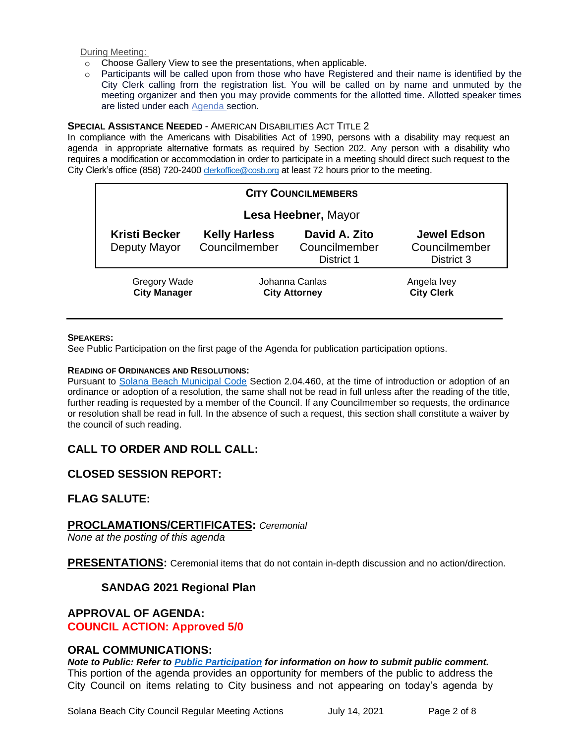During Meeting:

- o Choose Gallery View to see the presentations, when applicable.
- o Participants will be called upon from those who have Registered and their name is identified by the City Clerk calling from the registration list. You will be called on by name and unmuted by the meeting organizer and then you may provide comments for the allotted time. Allotted speaker times are listed under each [Agenda s](https://urldefense.proofpoint.com/v2/url?u=https-3A__www.ci.solana-2Dbeach.ca.us_index.asp-3FSEC-3DF0F1200D-2D21C6-2D4A88-2D8AE1-2D0BC07C1A81A7-26Type-3DB-5FBASIC&d=DwMFaQ&c=euGZstcaTDllvimEN8b7jXrwqOf-v5A_CdpgnVfiiMM&r=1XAsCUuqwK_tji2t0s1uIQ&m=C7WzXfOw2_nkEFMJClT55zZsF4tmIf_7KTn0o1WpYqI&s=3DcsWExM2_nx_xpvFtXslUjphiXd0MDCCF18y_Qy5yU&e=)ection.

#### **SPECIAL ASSISTANCE NEEDED** - AMERICAN DISABILITIES ACT TITLE 2

In compliance with the Americans with Disabilities Act of 1990, persons with a disability may request an agenda in appropriate alternative formats as required by Section 202. Any person with a disability who requires a modification or accommodation in order to participate in a meeting should direct such request to the City Clerk's office (858) 720-2400 [clerkoffice@cosb.org](mailto:EMAILGRP-CityClerksOfc@cosb.org) at least 72 hours prior to the meeting.

| <b>CITY COUNCILMEMBERS</b>                 |                                        |                                              |                                                   |
|--------------------------------------------|----------------------------------------|----------------------------------------------|---------------------------------------------------|
| Lesa Heebner, Mayor                        |                                        |                                              |                                                   |
| <b>Kristi Becker</b><br>Deputy Mayor       | <b>Kelly Harless</b><br>Councilmember  | David A. Zito<br>Councilmember<br>District 1 | <b>Jewel Edson</b><br>Councilmember<br>District 3 |
| <b>Gregory Wade</b><br><b>City Manager</b> | Johanna Canlas<br><b>City Attorney</b> |                                              | Angela Ivey<br><b>City Clerk</b>                  |

#### **SPEAKERS:**

See Public Participation on the first page of the Agenda for publication participation options.

#### **READING OF ORDINANCES AND RESOLUTIONS:**

Pursuant to Solana Beach [Municipal Code](https://www.codepublishing.com/CA/SolanaBeach/) Section 2.04.460, at the time of introduction or adoption of an ordinance or adoption of a resolution, the same shall not be read in full unless after the reading of the title, further reading is requested by a member of the Council. If any Councilmember so requests, the ordinance or resolution shall be read in full. In the absence of such a request, this section shall constitute a waiver by the council of such reading.

## **CALL TO ORDER AND ROLL CALL:**

## **CLOSED SESSION REPORT:**

#### **FLAG SALUTE:**

#### **PROCLAMATIONS/CERTIFICATES:** *Ceremonial*

*None at the posting of this agenda*

**PRESENTATIONS:** Ceremonial items that do not contain in-depth discussion and no action/direction.

#### **SANDAG 2021 Regional Plan**

#### **APPROVAL OF AGENDA:**

**COUNCIL ACTION: Approved 5/0**

#### **ORAL COMMUNICATIONS:**

*Note to Public: Refer to Public Participation for information on how to submit public comment.*  This portion of the agenda provides an opportunity for members of the public to address the City Council on items relating to City business and not appearing on today's agenda by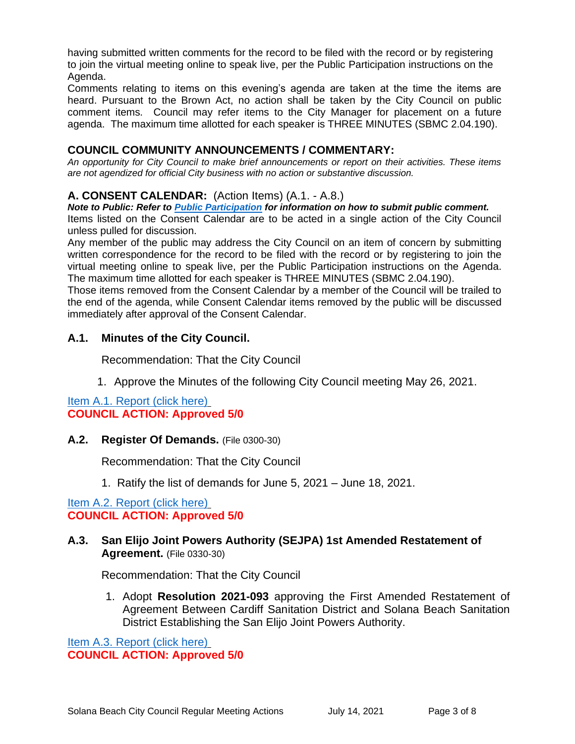having submitted written comments for the record to be filed with the record or by registering to join the virtual meeting online to speak live, per the Public Participation instructions on the Agenda.

Comments relating to items on this evening's agenda are taken at the time the items are heard. Pursuant to the Brown Act, no action shall be taken by the City Council on public comment items. Council may refer items to the City Manager for placement on a future agenda. The maximum time allotted for each speaker is THREE MINUTES (SBMC 2.04.190).

## **COUNCIL COMMUNITY ANNOUNCEMENTS / COMMENTARY:**

*An opportunity for City Council to make brief announcements or report on their activities. These items are not agendized for official City business with no action or substantive discussion.* 

# **A. CONSENT CALENDAR:** (Action Items) (A.1. - A.8.)

*Note to Public: Refer to Public Participation for information on how to submit public comment.*  Items listed on the Consent Calendar are to be acted in a single action of the City Council

unless pulled for discussion.

Any member of the public may address the City Council on an item of concern by submitting written correspondence for the record to be filed with the record or by registering to join the virtual meeting online to speak live, per the Public Participation instructions on the Agenda. The maximum time allotted for each speaker is THREE MINUTES (SBMC 2.04.190).

Those items removed from the Consent Calendar by a member of the Council will be trailed to the end of the agenda, while Consent Calendar items removed by the public will be discussed immediately after approval of the Consent Calendar.

## **A.1. Minutes of the City Council.**

Recommendation: That the City Council

1. Approve the Minutes of the following City Council meeting May 26, 2021.

[Item A.1. Report \(click here\)](https://solanabeach.govoffice3.com/vertical/Sites/%7B840804C2-F869-4904-9AE3-720581350CE7%7D/uploads/Item_A.1._Document_(click_here)_07-14-21_O.pdf) **COUNCIL ACTION: Approved 5/0**

## **A.2. Register Of Demands.** (File 0300-30)

Recommendation: That the City Council

1. Ratify the list of demands for June 5, 2021 – June 18, 2021.

[Item A.2. Report \(click here\)](https://solanabeach.govoffice3.com/vertical/Sites/%7B840804C2-F869-4904-9AE3-720581350CE7%7D/uploads/Item_A.2._Report_(click_here)_-_7-14-21_O.pdf) **COUNCIL ACTION: Approved 5/0**

## **A.3. San Elijo Joint Powers Authority (SEJPA) 1st Amended Restatement of Agreement.** (File 0330-30)

Recommendation: That the City Council

1. Adopt **Resolution 2021-093** approving the First Amended Restatement of Agreement Between Cardiff Sanitation District and Solana Beach Sanitation District Establishing the San Elijo Joint Powers Authority.

[Item A.3. Report \(click here\)](https://solanabeach.govoffice3.com/vertical/Sites/%7B840804C2-F869-4904-9AE3-720581350CE7%7D/uploads/Item_A.3._Report_(click_here)_-_7-14-21_O.pdf) **COUNCIL ACTION: Approved 5/0**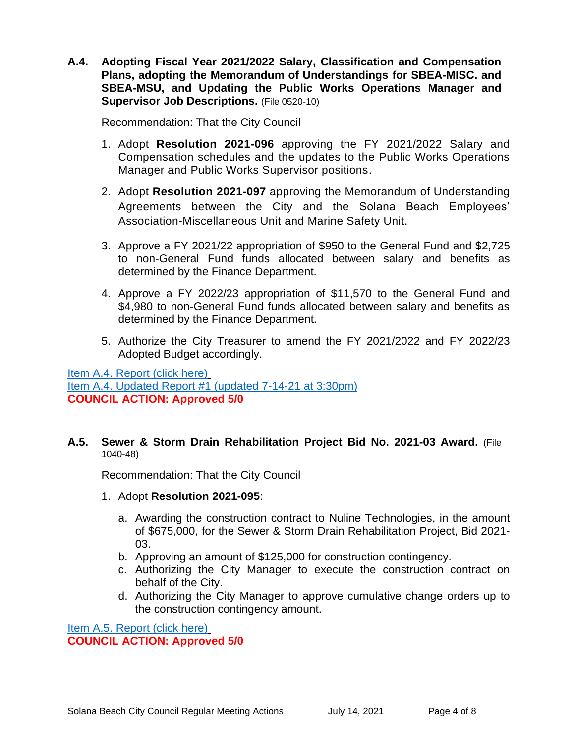**A.4. Adopting Fiscal Year 2021/2022 Salary, Classification and Compensation Plans, adopting the Memorandum of Understandings for SBEA-MISC. and SBEA-MSU, and Updating the Public Works Operations Manager and Supervisor Job Descriptions.** (File 0520-10)

Recommendation: That the City Council

- 1. Adopt **Resolution 2021-096** approving the FY 2021/2022 Salary and Compensation schedules and the updates to the Public Works Operations Manager and Public Works Supervisor positions.
- 2. Adopt **Resolution 2021-097** approving the Memorandum of Understanding Agreements between the City and the Solana Beach Employees' Association-Miscellaneous Unit and Marine Safety Unit.
- 3. Approve a FY 2021/22 appropriation of \$950 to the General Fund and \$2,725 to non-General Fund funds allocated between salary and benefits as determined by the Finance Department.
- 4. Approve a FY 2022/23 appropriation of \$11,570 to the General Fund and \$4,980 to non-General Fund funds allocated between salary and benefits as determined by the Finance Department.
- 5. Authorize the City Treasurer to amend the FY 2021/2022 and FY 2022/23 Adopted Budget accordingly.

[Item A.4. Report \(click here\)](https://solanabeach.govoffice3.com/vertical/Sites/%7B840804C2-F869-4904-9AE3-720581350CE7%7D/uploads/Item_A.4._Report_(click_here)_07-14-21_O.pdf) [Item A.4. Updated Report #1 \(updated 7-14-21 at 3:30pm\)](https://solanabeach.govoffice3.com/vertical/Sites/%7B840804C2-F869-4904-9AE3-720581350CE7%7D/uploads/Item_A.4._Updated_Report_1_(upd._7-14_at_318pm)_-_O.pdf) **COUNCIL ACTION: Approved 5/0**

#### **A.5. Sewer & Storm Drain Rehabilitation Project Bid No. 2021-03 Award.** (File 1040-48)

Recommendation: That the City Council

- 1. Adopt **Resolution 2021-095**:
	- a. Awarding the construction contract to Nuline Technologies, in the amount of \$675,000, for the Sewer & Storm Drain Rehabilitation Project, Bid 2021- 03.
	- b. Approving an amount of \$125,000 for construction contingency.
	- c. Authorizing the City Manager to execute the construction contract on behalf of the City.
	- d. Authorizing the City Manager to approve cumulative change orders up to the construction contingency amount.

[Item A.5. Report \(click here\)](https://solanabeach.govoffice3.com/vertical/Sites/%7B840804C2-F869-4904-9AE3-720581350CE7%7D/uploads/Item_A.5._Report_(click_here)_-_7-14-21_O.pdf) **COUNCIL ACTION: Approved 5/0**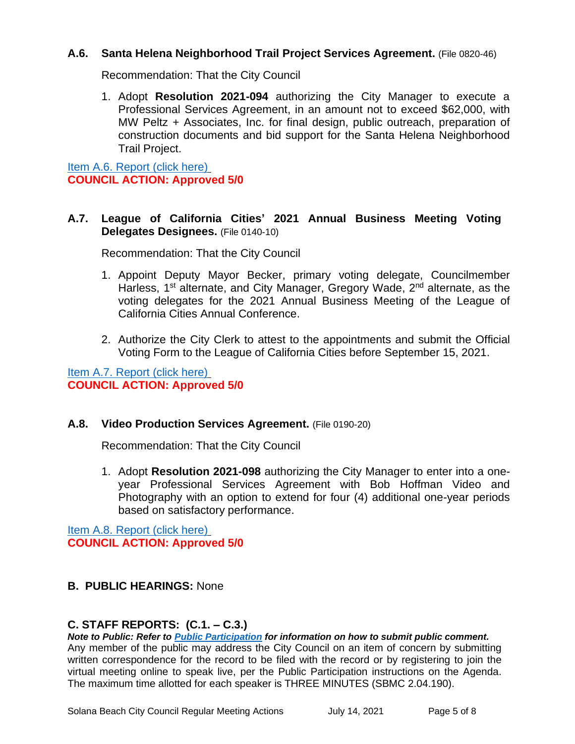## **A.6. Santa Helena Neighborhood Trail Project Services Agreement.** (File 0820-46)

Recommendation: That the City Council

1. Adopt **Resolution 2021-094** authorizing the City Manager to execute a Professional Services Agreement, in an amount not to exceed \$62,000, with MW Peltz + Associates, Inc. for final design, public outreach, preparation of construction documents and bid support for the Santa Helena Neighborhood Trail Project.

[Item A.6. Report \(click here\)](https://solanabeach.govoffice3.com/vertical/Sites/%7B840804C2-F869-4904-9AE3-720581350CE7%7D/uploads/Item_A.6._Report_(click_here)_-_7-14-21_O.pdf) **COUNCIL ACTION: Approved 5/0**

## **A.7. League of California Cities' 2021 Annual Business Meeting Voting Delegates Designees.** (File 0140-10)

Recommendation: That the City Council

- 1. Appoint Deputy Mayor Becker, primary voting delegate, Councilmember Harless, 1<sup>st</sup> alternate, and City Manager, Gregory Wade, 2<sup>nd</sup> alternate, as the voting delegates for the 2021 Annual Business Meeting of the League of California Cities Annual Conference.
- 2. Authorize the City Clerk to attest to the appointments and submit the Official Voting Form to the League of California Cities before September 15, 2021.

[Item A.7. Report \(click here\)](https://solanabeach.govoffice3.com/vertical/Sites/%7B840804C2-F869-4904-9AE3-720581350CE7%7D/uploads/Item_A.7._Report_(click_here)_-_7-14-21_O.pdf) **COUNCIL ACTION: Approved 5/0**

## **A.8. Video Production Services Agreement.** (File 0190-20)

Recommendation: That the City Council

1. Adopt **Resolution 2021-098** authorizing the City Manager to enter into a oneyear Professional Services Agreement with Bob Hoffman Video and Photography with an option to extend for four (4) additional one-year periods based on satisfactory performance.

[Item A.8. Report \(click here\)](https://solanabeach.govoffice3.com/vertical/Sites/%7B840804C2-F869-4904-9AE3-720581350CE7%7D/uploads/Item_A.8._Report_(click_here)_-_7-14-21_O.pdf) **COUNCIL ACTION: Approved 5/0**

# **B. PUBLIC HEARINGS:** None

# **C. STAFF REPORTS: (C.1. – C.3.)**

*Note to Public: Refer to Public Participation for information on how to submit public comment.*  Any member of the public may address the City Council on an item of concern by submitting written correspondence for the record to be filed with the record or by registering to join the virtual meeting online to speak live, per the Public Participation instructions on the Agenda. The maximum time allotted for each speaker is THREE MINUTES (SBMC 2.04.190).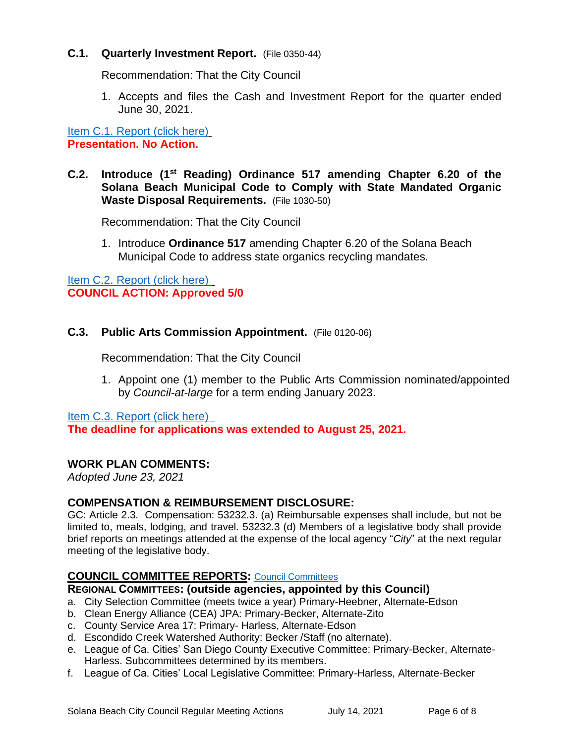## **C.1. Quarterly Investment Report.** (File 0350-44)

Recommendation: That the City Council

1. Accepts and files the Cash and Investment Report for the quarter ended June 30, 2021.

[Item C.1. Report](https://solanabeach.govoffice3.com/vertical/Sites/%7B840804C2-F869-4904-9AE3-720581350CE7%7D/uploads/Item_C.1._Report_(click_here)_-_7-14-21_O.pdf) (click here) **Presentation. No Action.**

## **C.2. Introduce (1st Reading) Ordinance 517 amending Chapter 6.20 of the Solana Beach Municipal Code to Comply with State Mandated Organic Waste Disposal Requirements.** (File 1030-50)

Recommendation: That the City Council

1. Introduce **Ordinance 517** amending Chapter 6.20 of the Solana Beach Municipal Code to address state organics recycling mandates.

[Item C.2. Report](https://solanabeach.govoffice3.com/vertical/Sites/%7B840804C2-F869-4904-9AE3-720581350CE7%7D/uploads/Item_C.2._Report_(click_here)_-_7-14-21_O.pdf) (click here) **COUNCIL ACTION: Approved 5/0**

## **C.3. Public Arts Commission Appointment.** (File 0120-06)

Recommendation: That the City Council

1. Appoint one (1) member to the Public Arts Commission nominated/appointed by *Council-at-large* for a term ending January 2023.

[Item C.3. Report](https://solanabeach.govoffice3.com/vertical/Sites/%7B840804C2-F869-4904-9AE3-720581350CE7%7D/uploads/Item_C.3._Report_(click_here)_-_7-14-21_O.pdf) (click here)

**The deadline for applications was extended to August 25, 2021.**

## **WORK PLAN COMMENTS:**

*Adopted June 23, 2021*

#### **COMPENSATION & REIMBURSEMENT DISCLOSURE:**

GC: Article 2.3. Compensation: 53232.3. (a) Reimbursable expenses shall include, but not be limited to, meals, lodging, and travel. 53232.3 (d) Members of a legislative body shall provide brief reports on meetings attended at the expense of the local agency "*City*" at the next regular meeting of the legislative body.

## **COUNCIL COMMITTEE REPORTS:** [Council Committees](https://www.ci.solana-beach.ca.us/index.asp?SEC=584E1192-3850-46EA-B977-088AC3E81E0D&Type=B_BASIC)

#### **REGIONAL COMMITTEES: (outside agencies, appointed by this Council)**

a. City Selection Committee (meets twice a year) Primary-Heebner, Alternate-Edson

- b. Clean Energy Alliance (CEA) JPA: Primary-Becker, Alternate-Zito
- c. County Service Area 17: Primary- Harless, Alternate-Edson
- d. Escondido Creek Watershed Authority: Becker /Staff (no alternate).
- e. League of Ca. Cities' San Diego County Executive Committee: Primary-Becker, Alternate-Harless. Subcommittees determined by its members.
- f. League of Ca. Cities' Local Legislative Committee: Primary-Harless, Alternate-Becker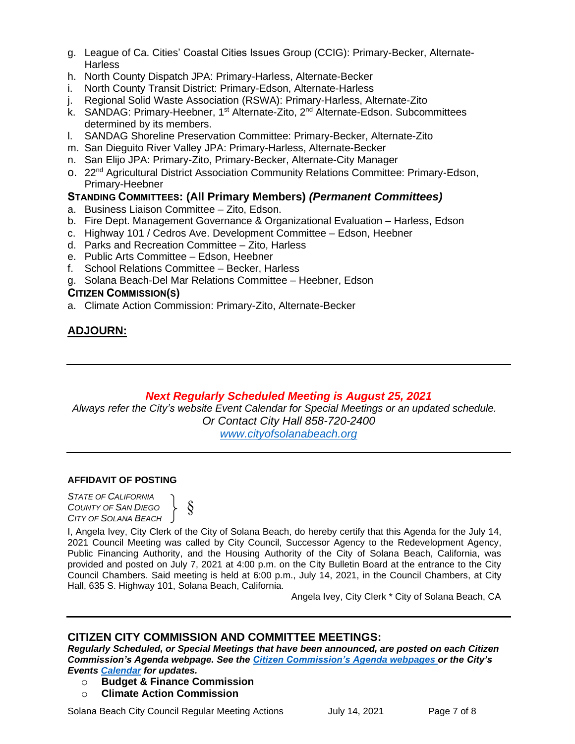- g. League of Ca. Cities' Coastal Cities Issues Group (CCIG): Primary-Becker, Alternate-**Harless**
- h. North County Dispatch JPA: Primary-Harless, Alternate-Becker
- i. North County Transit District: Primary-Edson, Alternate-Harless
- j. Regional Solid Waste Association (RSWA): Primary-Harless, Alternate-Zito
- k. SANDAG: Primary-Heebner, 1<sup>st</sup> Alternate-Zito, 2<sup>nd</sup> Alternate-Edson. Subcommittees determined by its members.
- l. SANDAG Shoreline Preservation Committee: Primary-Becker, Alternate-Zito
- m. San Dieguito River Valley JPA: Primary-Harless, Alternate-Becker
- n. San Elijo JPA: Primary-Zito, Primary-Becker, Alternate-City Manager
- o. 22nd Agricultural District Association Community Relations Committee: Primary-Edson, Primary-Heebner

## **STANDING COMMITTEES: (All Primary Members)** *(Permanent Committees)*

- a. Business Liaison Committee Zito, Edson.
- b. Fire Dept. Management Governance & Organizational Evaluation Harless, Edson
- c. Highway 101 / Cedros Ave. Development Committee Edson, Heebner
- d. Parks and Recreation Committee Zito, Harless
- e. Public Arts Committee Edson, Heebner
- f. School Relations Committee Becker, Harless
- g. Solana Beach-Del Mar Relations Committee Heebner, Edson

#### **CITIZEN COMMISSION(S)**

a. Climate Action Commission: Primary-Zito, Alternate-Becker

# **ADJOURN:**

# *Next Regularly Scheduled Meeting is August 25, 2021*

*Always refer the City's website Event Calendar for Special Meetings or an updated schedule. Or Contact City Hall 858-720-2400 [www.cityofsolanabeach.org](http://www.cityofsolanabeach.org/)* 

#### **AFFIDAVIT OF POSTING**

*STATE OF CALIFORNIA COUNTY OF SAN DIEGO CITY OF SOLANA BEACH*

§ }

I, Angela Ivey, City Clerk of the City of Solana Beach, do hereby certify that this Agenda for the July 14, 2021 Council Meeting was called by City Council, Successor Agency to the Redevelopment Agency, Public Financing Authority, and the Housing Authority of the City of Solana Beach, California, was provided and posted on July 7, 2021 at 4:00 p.m. on the City Bulletin Board at the entrance to the City Council Chambers. Said meeting is held at 6:00 p.m., July 14, 2021, in the Council Chambers, at City Hall, 635 S. Highway 101, Solana Beach, California.

Angela Ivey, City Clerk \* City of Solana Beach, CA

# **CITIZEN CITY COMMISSION AND COMMITTEE MEETINGS:**

*Regularly Scheduled, or Special Meetings that have been announced, are posted on each Citizen Commission's Agenda webpage. See the [Citizen Commission's Agenda webpages o](https://www.ci.solana-beach.ca.us/index.asp?SEC=3302C065-5C8A-43D2-88C2-F03C61D1DA2A&Type=B_BASIC)r the City's Events [Calendar](https://www.ci.solana-beach.ca.us/index.asp?SEC=FA26EC83-8D1C-4941-A3B2-20CA81EDCDDE&Type=B_EV) for updates.* 

- o **Budget & Finance Commission**
- o **Climate Action Commission**